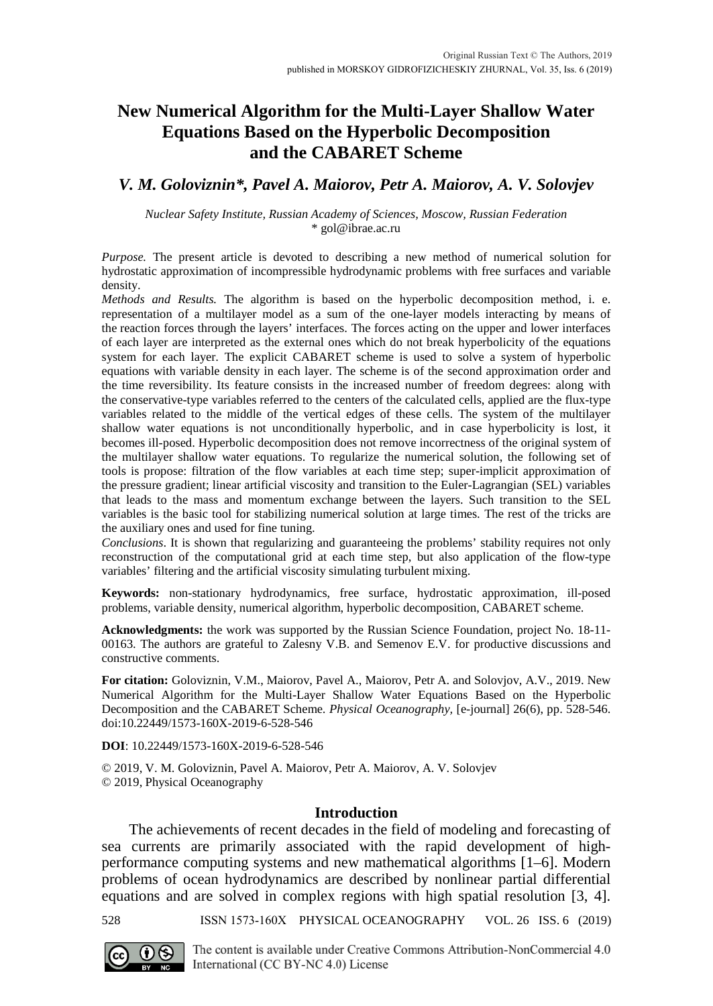# **New Numerical Algorithm for the Multi-Layer Shallow Water Equations Based on the Hyperbolic Decomposition and the CABARET Scheme**

# *V. M. Goloviznin\*, Pavel A. Maiorov, Petr A. Maiorov, A. V. Solovjev*

*Nuclear Safety Institute, Russian Academy of Sciences, Moscow, Russian Federation* \* [gol@ibrae.ac.ru](mailto:gol@ibrae.ac.ru)

*Purpose.* The present article is devoted to describing a new method of numerical solution for hydrostatic approximation of incompressible hydrodynamic problems with free surfaces and variable density.

*Methods and Results.* The algorithm is based on the hyperbolic decomposition method, i. e. representation of a multilayer model as a sum of the one-layer models interacting by means of the reaction forces through the layers' interfaces. The forces acting on the upper and lower interfaces of each layer are interpreted as the external ones which do not break hyperbolicity of the equations system for each layer. The explicit CABARET scheme is used to solve a system of hyperbolic equations with variable density in each layer. The scheme is of the second approximation order and the time reversibility. Its feature consists in the increased number of freedom degrees: along with the conservative-type variables referred to the centers of the calculated cells, applied are the flux-type variables related to the middle of the vertical edges of these cells. The system of the multilayer shallow water equations is not unconditionally hyperbolic, and in case hyperbolicity is lost, it becomes ill-posed. Hyperbolic decomposition does not remove incorrectness of the original system of the multilayer shallow water equations. To regularize the numerical solution, the following set of tools is propose: filtration of the flow variables at each time step; super-implicit approximation of the pressure gradient; linear artificial viscosity and transition to the Euler-Lagrangian (SEL) variables that leads to the mass and momentum exchange between the layers. Such transition to the SEL variables is the basic tool for stabilizing numerical solution at large times. The rest of the tricks are the auxiliary ones and used for fine tuning.

*Conclusions*. It is shown that regularizing and guaranteeing the problems' stability requires not only reconstruction of the computational grid at each time step, but also application of the flow-type variables' filtering and the artificial viscosity simulating turbulent mixing.

**Keywords:** non-stationary hydrodynamics, free surface, hydrostatic approximation, ill-posed problems, variable density, numerical algorithm, hyperbolic decomposition, CABARET scheme.

**Acknowledgments:** the work was supported by the Russian Science Foundation, project No. 18-11- 00163. The authors are grateful to Zalesny V.B. and Semenov E.V. for productive discussions and constructive comments.

**For citation:** Goloviznin, V.M., Maiorov, Pavel A., Maiorov, Petr A. and Solovjov, A.V., 2019. New Numerical Algorithm for the Multi-Layer Shallow Water Equations Based on the Hyperbolic Decomposition and the CABARET Scheme. *Physical Oceanography,* [e-journal] 26(6), pp. 528-546. doi:10.22449/1573-160X-2019-6-528-546

**DOI**: 10.22449/1573-160X-2019-6-528-546

© 2019, V. M. Goloviznin, Pavel A. Maiorov, Petr A. Maiorov, A. V. Solovjev © 2019, Physical Oceanography

#### **Introduction**

The achievements of recent decades in the field of modeling and forecasting of sea currents are primarily associated with the rapid development of highperformance computing systems and new mathematical algorithms [1–6]. Modern problems of ocean hydrodynamics are described by nonlinear partial differential equations and are solved in complex regions with high spatial resolution [3, 4].

528 ISSN 1573-160X PHYSICAL OCEANOGRAPHY VOL. 26 ISS. 6 (2019)



The content is available under Creative Commons Attribution-NonCommercial 4.0 International (CC BY-NC 4.0) License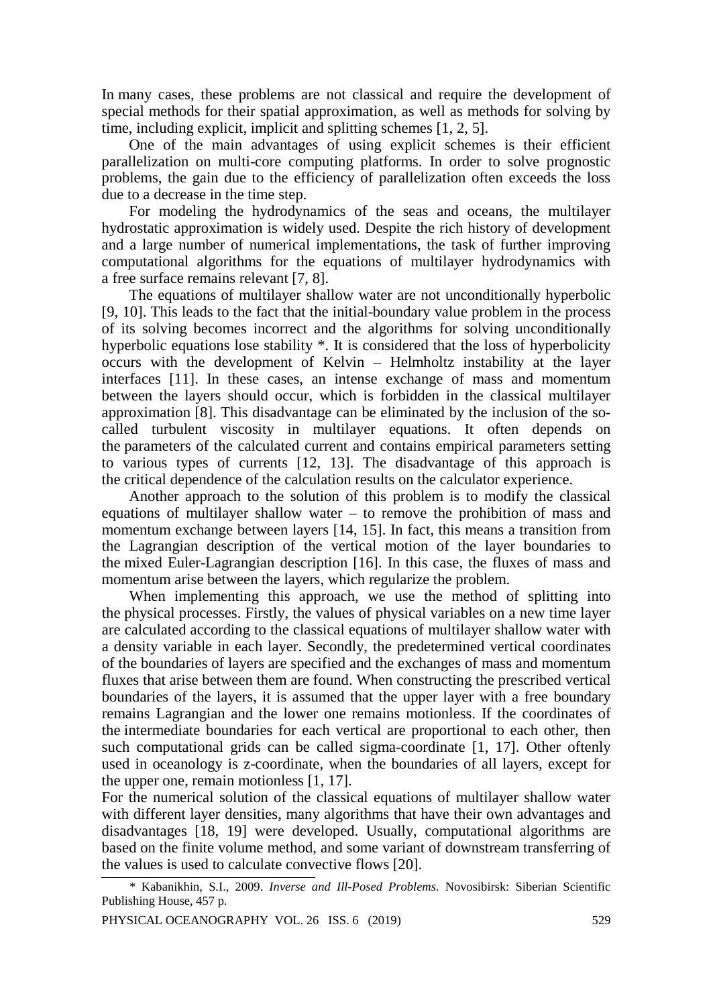In many cases, these problems are not classical and require the development of special methods for their spatial approximation, as well as methods for solving by time, including explicit, implicit and splitting schemes [1, 2, 5].

One of the main advantages of using explicit schemes is their efficient parallelization on multi-core computing platforms. In order to solve prognostic problems, the gain due to the efficiency of parallelization often exceeds the loss due to a decrease in the time step.

For modeling the hydrodynamics of the seas and oceans, the multilayer hydrostatic approximation is widely used. Despite the rich history of development and a large number of numerical implementations, the task of further improving computational algorithms for the equations of multilayer hydrodynamics with a free surface remains relevant [7, 8].

The equations of multilayer shallow water are not unconditionally hyperbolic [9, 10]. This leads to the fact that the initial-boundary value problem in the process of its solving becomes incorrect and the algorithms for solving unconditionally hyperbolic equations lose stability \*. It is considered that the loss of hyperbolicity occurs with the development of Kelvin – Helmholtz instability at the layer interfaces [11]. In these cases, an intense exchange of mass and momentum between the layers should occur, which is forbidden in the classical multilayer approximation [8]. This disadvantage can be eliminated by the inclusion of the socalled turbulent viscosity in multilayer equations. It often depends on the parameters of the calculated current and contains empirical parameters setting to various types of currents [12, 13]. The disadvantage of this approach is the critical dependence of the calculation results on the calculator experience.

Another approach to the solution of this problem is to modify the classical equations of multilayer shallow water – to remove the prohibition of mass and momentum exchange between layers [14, 15]. In fact, this means a transition from the Lagrangian description of the vertical motion of the layer boundaries to the mixed Euler-Lagrangian description [16]. In this case, the fluxes of mass and momentum arise between the layers, which regularize the problem.

When implementing this approach, we use the method of splitting into the physical processes. Firstly, the values of physical variables on a new time layer are calculated according to the classical equations of multilayer shallow water with a density variable in each layer. Secondly, the predetermined vertical coordinates of the boundaries of layers are specified and the exchanges of mass and momentum fluxes that arise between them are found. When constructing the prescribed vertical boundaries of the layers, it is assumed that the upper layer with a free boundary remains Lagrangian and the lower one remains motionless. If the coordinates of the intermediate boundaries for each vertical are proportional to each other, then such computational grids can be called sigma-coordinate [1, 17]. Other oftenly used in oceanology is z-coordinate, when the boundaries of all layers, except for the upper one, remain motionless [1, 17].

For the numerical solution of the classical equations of multilayer shallow water with different layer densities, many algorithms that have their own advantages and disadvantages [18, 19] were developed. Usually, computational algorithms are based on the finite volume method, and some variant of downstream transferring of the values is used to calculate convective flows [20].

*<sup>\*</sup>* Kabanikhin, S.I., 2009. *Inverse and Ill-Posed Problems*. Novosibirsk: Siberian Scientific Publishing House, 457 p.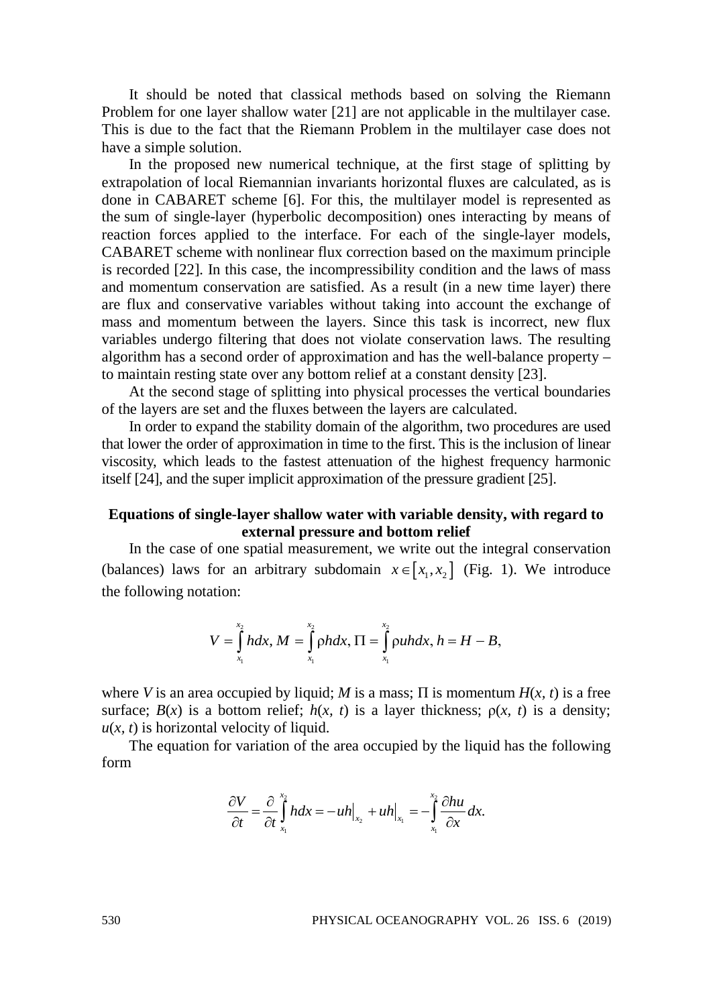It should be noted that classical methods based on solving the Riemann Problem for one layer shallow water [21] are not applicable in the multilayer case. This is due to the fact that the Riemann Problem in the multilayer case does not have a simple solution.

In the proposed new numerical technique, at the first stage of splitting by extrapolation of local Riemannian invariants horizontal fluxes are calculated, as is done in CABARET scheme [6]. For this, the multilayer model is represented as the sum of single-layer (hyperbolic decomposition) ones interacting by means of reaction forces applied to the interface. For each of the single-layer models, CABARET scheme with nonlinear flux correction based on the maximum principle is recorded [22]. In this case, the incompressibility condition and the laws of mass and momentum conservation are satisfied. As a result (in a new time layer) there are flux and conservative variables without taking into account the exchange of mass and momentum between the layers. Since this task is incorrect, new flux variables undergo filtering that does not violate conservation laws. The resulting algorithm has a second order of approximation and has the well-balance property – to maintain resting state over any bottom relief at a constant density [23].

At the second stage of splitting into physical processes the vertical boundaries of the layers are set and the fluxes between the layers are calculated.

In order to expand the stability domain of the algorithm, two procedures are used that lower the order of approximation in time to the first. This is the inclusion of linear viscosity, which leads to the fastest attenuation of the highest frequency harmonic itself [24], and the super implicit approximation of the pressure gradient [25].

## **Equations of single-layer shallow water with variable density, with regard to external pressure and bottom relief**

In the case of one spatial measurement, we write out the integral conservation (balances) laws for an arbitrary subdomain  $x \in [x_1, x_2]$  (Fig. 1). We introduce the following notation:

$$
V = \int_{x_1}^{x_2} h dx, M = \int_{x_1}^{x_2} \rho h dx, \Pi = \int_{x_1}^{x_2} \rho u h dx, h = H - B,
$$

where *V* is an area occupied by liquid; *M* is a mass;  $\Pi$  is momentum  $H(x, t)$  is a free surface;  $B(x)$  is a bottom relief;  $h(x, t)$  is a layer thickness;  $\rho(x, t)$  is a density;  $u(x, t)$  is horizontal velocity of liquid.

The equation for variation of the area occupied by the liquid has the following form

$$
\frac{\partial V}{\partial t} = \frac{\partial}{\partial t} \int_{x_1}^{x_2} h dx = -uh\Big|_{x_2} + uh\Big|_{x_1} = -\int_{x_1}^{x_2} \frac{\partial h u}{\partial x} dx.
$$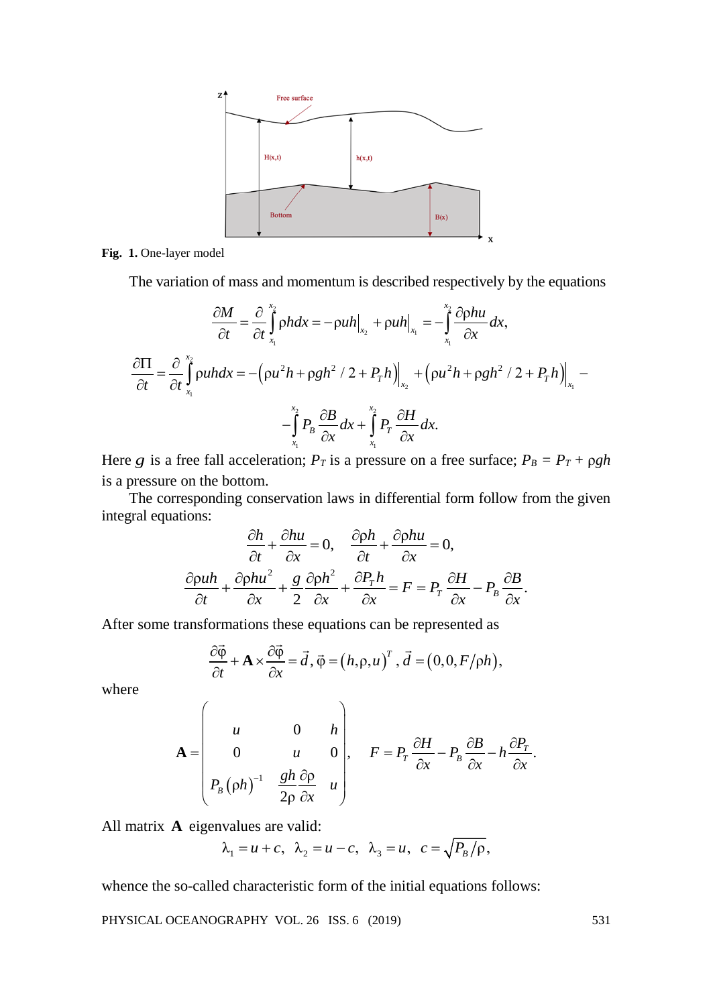

Fig. 1. One-layer model

The variation of mass and momentum is described respectively by the equations

$$
\frac{\partial M}{\partial t} = \frac{\partial}{\partial t} \int_{x_1}^{x_2} \rho h dx = -\rho u h \Big|_{x_2} + \rho u h \Big|_{x_1} = -\int_{x_1}^{x_2} \frac{\partial \rho h u}{\partial x} dx,
$$
  

$$
\frac{\partial \Pi}{\partial t} = \frac{\partial}{\partial t} \int_{x_1}^{x_2} \rho u h dx = -\left(\rho u^2 h + \rho g h^2 / 2 + P_{\tau} h\right) \Big|_{x_2} + \left(\rho u^2 h + \rho g h^2 / 2 + P_{\tau} h\right) \Big|_{x_1} -
$$

$$
-\int_{x_1}^{x_2} P_{\tau} \frac{\partial B}{\partial x} dx + \int_{x_1}^{x_2} P_{\tau} \frac{\partial H}{\partial x} dx.
$$

Here *g* is a free fall acceleration;  $P_T$  is a pressure on a free surface;  $P_B = P_T + \rho gh$ is a pressure on the bottom.

The corresponding conservation laws in differential form follow from the given integral equations:

$$
\frac{\partial h}{\partial t} + \frac{\partial hu}{\partial x} = 0, \quad \frac{\partial \rho h}{\partial t} + \frac{\partial \rho hu}{\partial x} = 0,
$$

$$
\frac{\partial \rho uh}{\partial t} + \frac{\partial \rho hu^2}{\partial x} + \frac{g}{2} \frac{\partial \rho h^2}{\partial x} + \frac{\partial P_r h}{\partial x} = F = P_r \frac{\partial H}{\partial x} - P_\beta \frac{\partial B}{\partial x}.
$$

After some transformations these equations can be represented as

$$
\frac{\partial \vec{\varphi}}{\partial t} + \mathbf{A} \times \frac{\partial \vec{\varphi}}{\partial x} = \vec{d}, \, \vec{\varphi} = (h, \rho, u)^T, \, \vec{d} = (0, 0, F/\rho h),
$$

where

$$
\mathbf{A} = \begin{pmatrix} u & 0 & h \\ 0 & u & 0 \\ P_B(\rho h)^{-1} & \frac{gh}{2\rho} \frac{\partial \rho}{\partial x} & u \end{pmatrix}, \quad F = P_T \frac{\partial H}{\partial x} - P_B \frac{\partial B}{\partial x} - h \frac{\partial P_T}{\partial x}.
$$

All matrix **A** eigenvalues are valid:

$$
\lambda_1 = u + c, \quad \lambda_2 = u - c, \quad \lambda_3 = u, \quad c = \sqrt{P_B / \rho},
$$

whence the so-called characteristic form of the initial equations follows: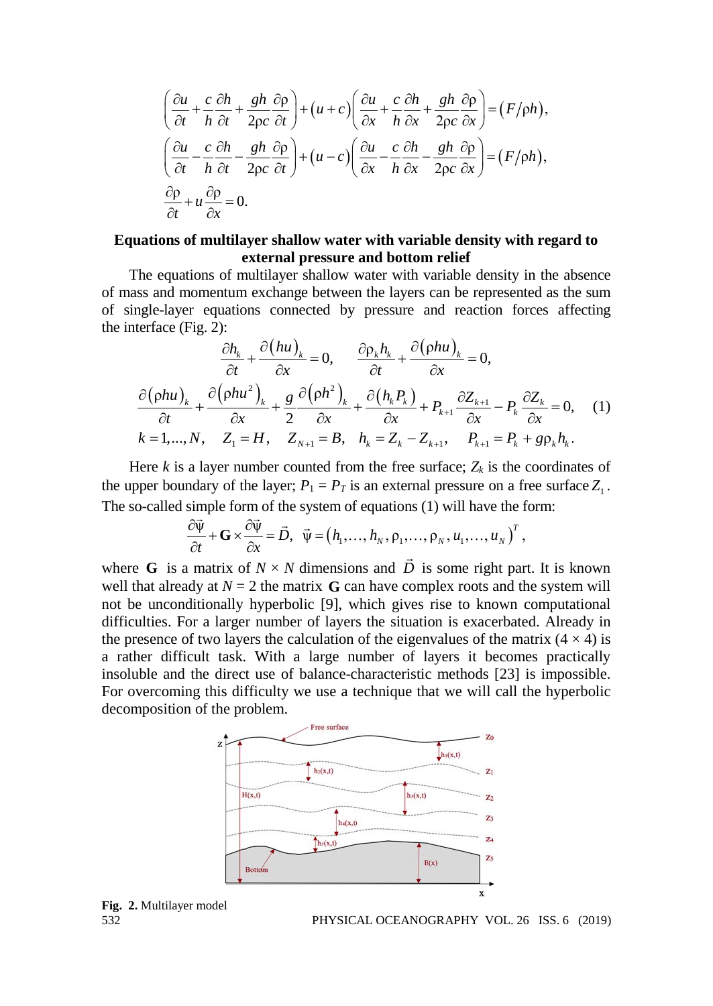$$
\left(\frac{\partial u}{\partial t} + \frac{c}{h}\frac{\partial h}{\partial t} + \frac{gh}{2\rho c}\frac{\partial \rho}{\partial t}\right) + \left(u + c\right)\left(\frac{\partial u}{\partial x} + \frac{c}{h}\frac{\partial h}{\partial x} + \frac{gh}{2\rho c}\frac{\partial \rho}{\partial x}\right) = \left(F/\rho h\right),
$$
\n
$$
\left(\frac{\partial u}{\partial t} - \frac{c}{h}\frac{\partial h}{\partial t} - \frac{gh}{2\rho c}\frac{\partial \rho}{\partial t}\right) + \left(u - c\right)\left(\frac{\partial u}{\partial x} - \frac{c}{h}\frac{\partial h}{\partial x} - \frac{gh}{2\rho c}\frac{\partial \rho}{\partial x}\right) = \left(F/\rho h\right),
$$
\n
$$
\frac{\partial \rho}{\partial t} + u\frac{\partial \rho}{\partial x} = 0.
$$

### **Equations of multilayer shallow water with variable density with regard to external pressure and bottom relief**

The equations of multilayer shallow water with variable density in the absence of mass and momentum exchange between the layers can be represented as the sum of single-layer equations connected by pressure and reaction forces affecting the interface (Fig. 2):

$$
\frac{\partial h_k}{\partial t} + \frac{\partial (hu)_k}{\partial x} = 0, \qquad \frac{\partial \rho_k h_k}{\partial t} + \frac{\partial (\rho hu)_k}{\partial x} = 0,
$$
\n
$$
\frac{\partial (\rho hu)_k}{\partial t} + \frac{\partial (\rho hu^2)_k}{\partial x} + \frac{g}{2} \frac{\partial (\rho h^2)_k}{\partial x} + \frac{\partial (h_k P_k)}{\partial x} + P_{k+1} \frac{\partial Z_{k+1}}{\partial x} - P_k \frac{\partial Z_k}{\partial x} = 0, \quad (1)
$$
\n
$$
k = 1, ..., N, \quad Z_1 = H, \quad Z_{N+1} = B, \quad h_k = Z_k - Z_{k+1}, \quad P_{k+1} = P_k + g \rho_k h_k.
$$

Here  $k$  is a layer number counted from the free surface;  $Z_k$  is the coordinates of the upper boundary of the layer;  $P_1 = P_T$  is an external pressure on a free surface  $Z_1$ . The so-called simple form of the system of equations (1) will have the form:

$$
\frac{\partial \vec{\psi}}{\partial t} + \mathbf{G} \times \frac{\partial \vec{\psi}}{\partial x} = \vec{D}, \quad \vec{\psi} = (h_1, \dots, h_N, \rho_1, \dots, \rho_N, u_1, \dots, u_N)^T,
$$

where **G** is a matrix of  $N \times N$  dimensions and  $\vec{D}$  is some right part. It is known well that already at  $N = 2$  the matrix **G** can have complex roots and the system will not be unconditionally hyperbolic [9], which gives rise to known computational difficulties. For a larger number of layers the situation is exacerbated. Already in the presence of two layers the calculation of the eigenvalues of the matrix  $(4 \times 4)$  is a rather difficult task. With a large number of layers it becomes practically insoluble and the direct use of balance-characteristic methods [23] is impossible. For overcoming this difficulty we use a technique that we will call the hyperbolic decomposition of the problem.





PHYSICAL OCEANOGRAPHY VOL. 26 ISS. 6 (2019)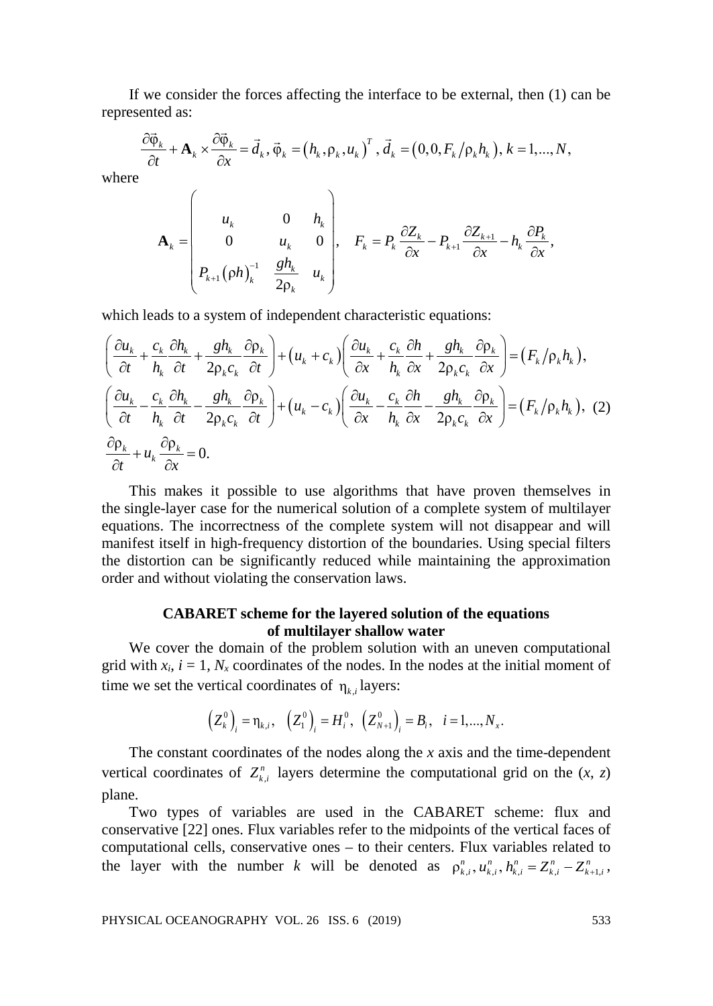If we consider the forces affecting the interface to be external, then (1) can be represented as:

$$
\frac{\partial \vec{\varphi}_k}{\partial t} + \mathbf{A}_k \times \frac{\partial \vec{\varphi}_k}{\partial x} = \vec{d}_k, \vec{\varphi}_k = (h_k, \rho_k, u_k)^T, \vec{d}_k = (0, 0, F_k/\rho_k h_k), k = 1, ..., N,
$$

where

$$
\mathbf{A}_{k} = \begin{pmatrix} u_k & 0 & h_k \\ 0 & u_k & 0 \\ P_{k+1}(\rho h)_k^{-1} & \frac{gh_k}{2\rho_k} & u_k \end{pmatrix}, \quad F_k = P_k \frac{\partial Z_k}{\partial x} - P_{k+1} \frac{\partial Z_{k+1}}{\partial x} - h_k \frac{\partial P_k}{\partial x},
$$

which leads to a system of independent characteristic equations:

$$
\begin{split}\n&\left(\frac{\partial u_k}{\partial t} + \frac{c_k}{h_k}\frac{\partial h_k}{\partial t} + \frac{gh_k}{2\rho_k c_k}\frac{\partial \rho_k}{\partial t}\right) + \left(u_k + c_k\right)\left(\frac{\partial u_k}{\partial x} + \frac{c_k}{h_k}\frac{\partial h_k}{\partial x} + \frac{gh_k}{2\rho_k c_k}\frac{\partial \rho_k}{\partial x}\right) = \left(F_k/\rho_k h_k\right), \\
&\left(\frac{\partial u_k}{\partial t} - \frac{c_k}{h_k}\frac{\partial h_k}{\partial t} - \frac{gh_k}{2\rho_k c_k}\frac{\partial \rho_k}{\partial t}\right) + \left(u_k - c_k\right)\left(\frac{\partial u_k}{\partial x} - \frac{c_k}{h_k}\frac{\partial h_k}{\partial x} - \frac{gh_k}{2\rho_k c_k}\frac{\partial \rho_k}{\partial x}\right) = \left(F_k/\rho_k h_k\right),\n\end{split}
$$
\n
$$
\frac{\partial \rho_k}{\partial t} + u_k \frac{\partial \rho_k}{\partial x} = 0.
$$

This makes it possible to use algorithms that have proven themselves in the single-layer case for the numerical solution of a complete system of multilayer equations. The incorrectness of the complete system will not disappear and will manifest itself in high-frequency distortion of the boundaries. Using special filters the distortion can be significantly reduced while maintaining the approximation order and without violating the conservation laws.

### **CABARET scheme for the layered solution of the equations of multilayer shallow water**

We cover the domain of the problem solution with an uneven computational grid with  $x_i$ ,  $i = 1$ ,  $N_x$  coordinates of the nodes. In the nodes at the initial moment of time we set the vertical coordinates of  $\eta_k$  *i*, layers:

$$
(Z_k^0)_i = \eta_{k,i}, (Z_1^0)_i = H_i^0, (Z_{N+1}^0)_i = B_i, i = 1,...,N_x.
$$

The constant coordinates of the nodes along the *x* axis and the time-dependent vertical coordinates of  $Z_{k,i}^n$  layers determine the computational grid on the  $(x, z)$ plane.

Two types of variables are used in the CABARET scheme: flux and conservative [22] ones. Flux variables refer to the midpoints of the vertical faces of computational cells, conservative ones – to their centers. Flux variables related to the layer with the number *k* will be denoted as  $\rho_{k,i}^n, u_{k,i}^n, h_{k,i}^n = Z_{k,i}^n - Z_{k+1,i}^n$ ,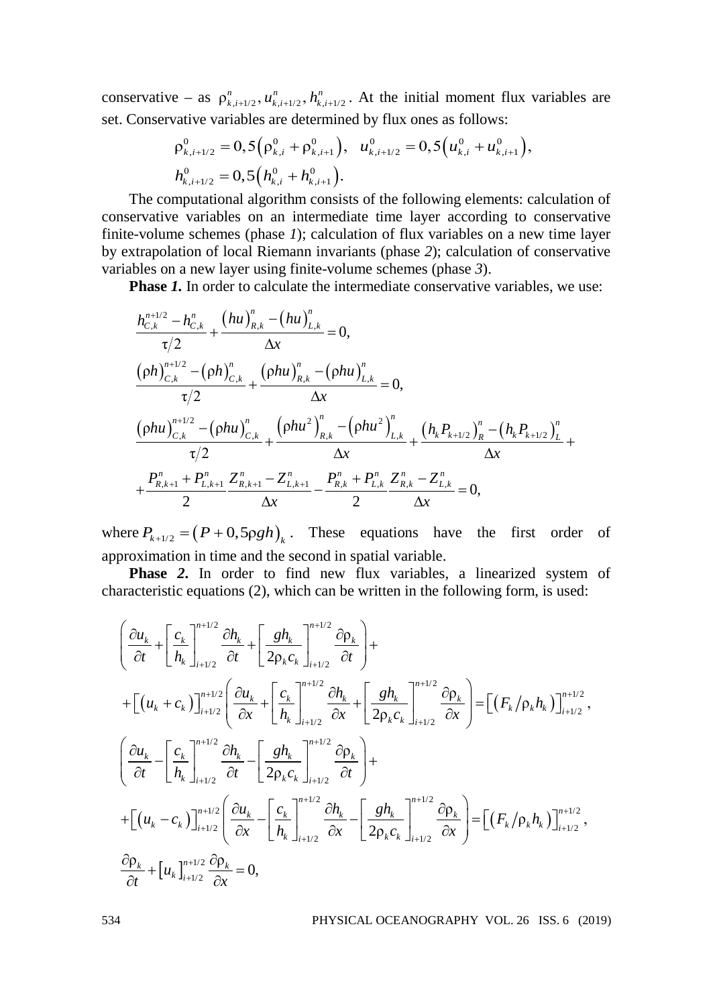conservative – as  $\rho_{k,i+1/2}^n, u_{k,i+1/2}^n, h_{k,i+1/2}^n$ . At the initial moment flux variables are set. Conservative variables are determined by flux ones as follows:

$$
\rho_{k,i+1/2}^0 = 0,5(\rho_{k,i}^0 + \rho_{k,i+1}^0), \quad u_{k,i+1/2}^0 = 0,5(u_{k,i}^0 + u_{k,i+1}^0),
$$
  
\n
$$
h_{k,i+1/2}^0 = 0,5(h_{k,i}^0 + h_{k,i+1}^0).
$$

The computational algorithm consists of the following elements: calculation of conservative variables on an intermediate time layer according to conservative finite-volume schemes (phase *1*); calculation of flux variables on a new time layer by extrapolation of local Riemann invariants (phase *2*); calculation of conservative variables on a new layer using finite-volume schemes (phase *3*).

**Phase** *1.* In order to calculate the intermediate conservative variables, we use:

$$
\frac{h_{C,k}^{n+1/2} - h_{C,k}^n}{\tau/2} + \frac{(hu)_{R,k}^n - (hu)_{L,k}^n}{\Delta x} = 0,
$$
\n
$$
\frac{(\rho h)_{C,k}^{n+1/2} - (\rho h)_{C,k}^n}{\tau/2} + \frac{(\rho hu)_{R,k}^n - (\rho hu)_{L,k}^n}{\Delta x} = 0,
$$
\n
$$
\frac{(\rho hu)_{C,k}^{n+1/2} - (\rho hu)_{C,k}^n}{\tau/2} + \frac{(\rho hu^2)_{R,k}^n - (\rho hu^2)_{L,k}^n}{\Delta x} + \frac{(h_k P_{k+1/2})_R^n - (h_k P_{k+1/2})_L^n}{\Delta x} + \frac{P_{R,k+1}^n + P_{L,k+1}^n}{2} \frac{Z_{R,k+1}^n - Z_{L,k+1}^n}{\Delta x} - \frac{P_{R,k}^n + P_{L,k}^n}{2} \frac{Z_{R,k}^n - Z_{L,k}^n}{\Delta x} = 0,
$$

where  $P_{k+1/2} = (P + 0.5\rho g h)_k$ . These equations have the first order of approximation in time and the second in spatial variable.

**Phase** *2***.** In order to find new flux variables, a linearized system of characteristic equations (2), which can be written in the following form, is used:

$$
\begin{split}\n&\left(\frac{\partial u_k}{\partial t} + \left[\frac{c_k}{h_k}\right]_{i+1/2}^{n+1/2} \frac{\partial h_k}{\partial t} + \left[\frac{gh_k}{2\rho_k c_k}\right]_{i+1/2}^{n+1/2} \frac{\partial \rho_k}{\partial t}\right) + \right. \\
&+ \left[\left(u_k + c_k\right)\right]_{i+1/2}^{n+1/2} \left(\frac{\partial u_k}{\partial x} + \left[\frac{c_k}{h_k}\right]_{i+1/2}^{n+1/2} \frac{\partial h_k}{\partial x} + \left[\frac{gh_k}{2\rho_k c_k}\right]_{i+1/2}^{n+1/2} \frac{\partial \rho_k}{\partial x}\right] = \left[\left(F_k/\rho_k h_k\right)\right]_{i+1/2}^{n+1/2}, \\
&\left(\frac{\partial u_k}{\partial t} - \left[\frac{c_k}{h_k}\right]_{i+1/2}^{n+1/2} \frac{\partial h_k}{\partial t} - \left[\frac{gh_k}{2\rho_k c_k}\right]_{i+1/2}^{n+1/2} \frac{\partial \rho_k}{\partial t}\right) + \right. \\
&+ \left.\left[\left(u_k - c_k\right)\right]_{i+1/2}^{n+1/2} \left(\frac{\partial u_k}{\partial x} - \left[\frac{c_k}{h_k}\right]_{i+1/2}^{n+1/2} \frac{\partial h_k}{\partial x} - \left[\frac{gh_k}{2\rho_k c_k}\right]_{i+1/2}^{n+1/2} \frac{\partial \rho_k}{\partial x}\right] = \left[\left(F_k/\rho_k h_k\right)\right]_{i+1/2}^{n+1/2}, \\
&\frac{\partial \rho_k}{\partial t} + \left[u_k\right]_{i+1/2}^{n+1/2} \frac{\partial \rho_k}{\partial x} = 0,\n\end{split}
$$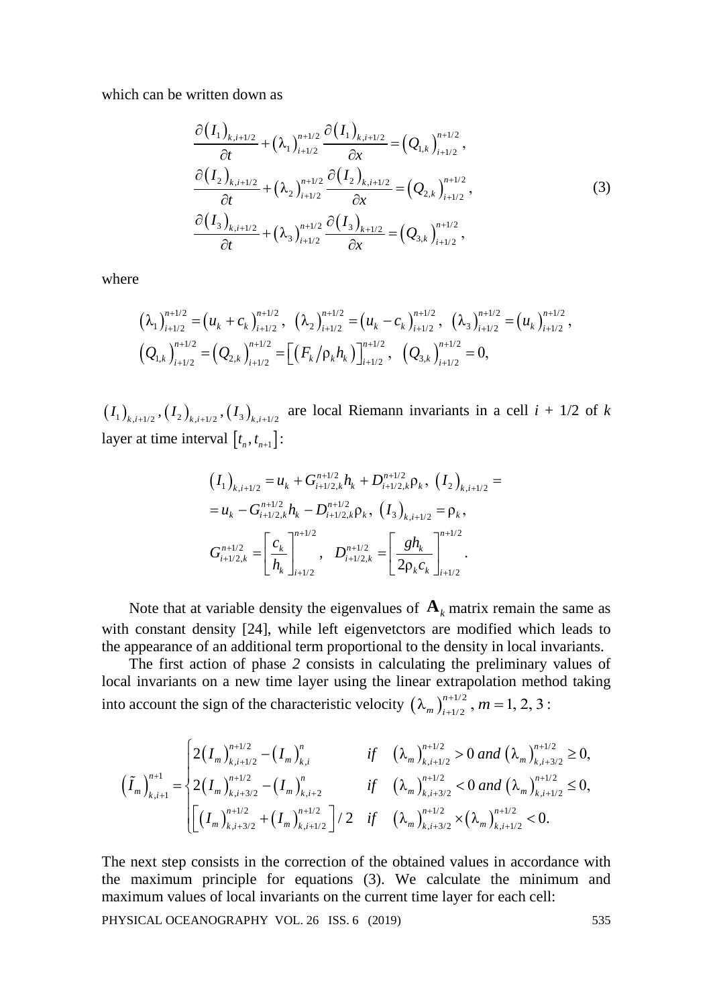which can be written down as

$$
\frac{\partial (I_{1})_{k,i+1/2}}{\partial t} + (\lambda_{1})_{i+1/2}^{n+1/2} \frac{\partial (I_{1})_{k,i+1/2}}{\partial x} = (Q_{1,k})_{i+1/2}^{n+1/2},
$$
\n
$$
\frac{\partial (I_{2})_{k,i+1/2}}{\partial t} + (\lambda_{2})_{i+1/2}^{n+1/2} \frac{\partial (I_{2})_{k,i+1/2}}{\partial x} = (Q_{2,k})_{i+1/2}^{n+1/2},
$$
\n
$$
\frac{\partial (I_{3})_{k,i+1/2}}{\partial t} + (\lambda_{3})_{i+1/2}^{n+1/2} \frac{\partial (I_{3})_{k+1/2}}{\partial x} = (Q_{3,k})_{i+1/2}^{n+1/2},
$$
\n(3)

where

$$
\left(\lambda_{1}\right)_{i+1/2}^{n+1/2} = \left(u_{k} + c_{k}\right)_{i+1/2}^{n+1/2}, \quad \left(\lambda_{2}\right)_{i+1/2}^{n+1/2} = \left(u_{k} - c_{k}\right)_{i+1/2}^{n+1/2}, \quad \left(\lambda_{3}\right)_{i+1/2}^{n+1/2} = \left(u_{k}\right)_{i+1/2}^{n+1/2},
$$
\n
$$
\left(Q_{1,k}\right)_{i+1/2}^{n+1/2} = \left(Q_{2,k}\right)_{i+1/2}^{n+1/2} = \left[\left(F_{k}/\rho_{k}h_{k}\right)\right]_{i+1/2}^{n+1/2}, \quad \left(Q_{3,k}\right)_{i+1/2}^{n+1/2} = 0,
$$

 $(I_1)_{k,i+1/2}, (I_2)_{k,i+1/2}, (I_3)_{k,i+1/2}$  are local Riemann invariants in a cell  $i + 1/2$  of  $k$ layer at time interval  $[t_n, t_{n+1}]$ :

$$
(I_{1})_{k,i+1/2} = u_{k} + G_{i+1/2,k}^{n+1/2} h_{k} + D_{i+1/2,k}^{n+1/2} \rho_{k}, (I_{2})_{k,i+1/2} =
$$
  
\n
$$
= u_{k} - G_{i+1/2,k}^{n+1/2} h_{k} - D_{i+1/2,k}^{n+1/2} \rho_{k}, (I_{3})_{k,i+1/2} = \rho_{k},
$$
  
\n
$$
G_{i+1/2,k}^{n+1/2} = \left[ \frac{c_{k}}{h_{k}} \right]_{i+1/2}^{n+1/2}, D_{i+1/2,k}^{n+1/2} = \left[ \frac{gh_{k}}{2\rho_{k}c_{k}} \right]_{i+1/2}^{n+1/2}.
$$

Note that at variable density the eigenvalues of  $A_k$  matrix remain the same as with constant density [24], while left eigenvetctors are modified which leads to the appearance of an additional term proportional to the density in local invariants.

The first action of phase *2* consists in calculating the preliminary values of local invariants on a new time layer using the linear extrapolation method taking into account the sign of the characteristic velocity  $(\lambda_m)_{i=1/2}^{n+1/2}$ ,  $m = 1, 2, 3$ :

$$
\left(\tilde{I}_{m}\right)_{k,i+1}^{n+1} = \begin{cases} 2\left(I_{m}\right)_{k,i+1/2}^{n+1/2} - \left(I_{m}\right)_{k,i}^{n} & \text{if } \left(\lambda_{m}\right)_{k,i+1/2}^{n+1/2} > 0 \text{ and } \left(\lambda_{m}\right)_{k,i+3/2}^{n+1/2} \geq 0, \\ 2\left(I_{m}\right)_{k,i+3/2}^{n+1/2} - \left(I_{m}\right)_{k,i+2}^{n} & \text{if } \left(\lambda_{m}\right)_{k,i+3/2}^{n+1/2} < 0 \text{ and } \left(\lambda_{m}\right)_{k,i+1/2}^{n+1/2} \leq 0, \\ \left[\left(I_{m}\right)_{k,i+3/2}^{n+1/2} + \left(I_{m}\right)_{k,i+1/2}^{n+1/2}\right] / 2 & \text{if } \left(\lambda_{m}\right)_{k,i+3/2}^{n+1/2} \times \left(\lambda_{m}\right)_{k,i+1/2}^{n+1/2} < 0. \end{cases}
$$

The next step consists in the correction of the obtained values in accordance with the maximum principle for equations (3). We calculate the minimum and maximum values of local invariants on the current time layer for each cell: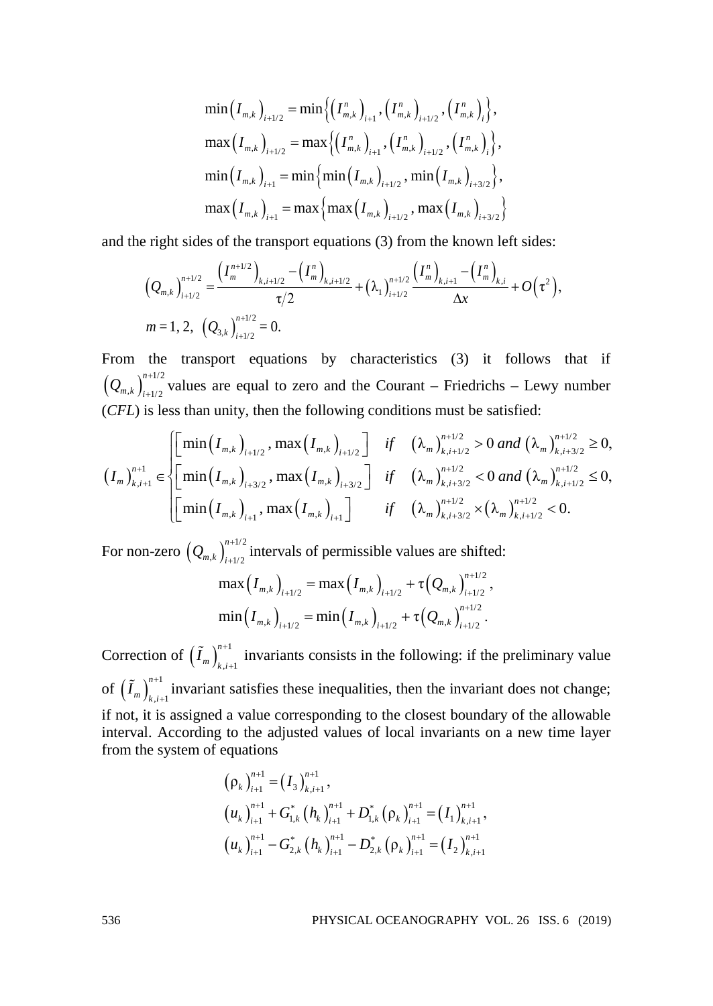$$
\min(I_{m,k})_{i+1/2} = \min \{ \left( I_{m,k}^n \right)_{i+1}, \left( I_{m,k}^n \right)_{i+1/2}, \left( I_{m,k}^n \right)_{i} \},
$$

$$
\max (I_{m,k})_{i+1/2} = \max \{ \left( I_{m,k}^n \right)_{i+1}, \left( I_{m,k}^n \right)_{i+1/2}, \left( I_{m,k}^n \right)_{i} \},
$$

$$
\min (I_{m,k})_{i+1} = \min \{ \min (I_{m,k})_{i+1/2}, \min (I_{m,k})_{i+3/2} \},
$$

$$
\max (I_{m,k})_{i+1} = \max \{ \max (I_{m,k})_{i+1/2}, \max (I_{m,k})_{i+3/2} \}
$$

and the right sides of the transport equations (3) from the known left sides:

$$
\left(Q_{m,k}\right)_{i+1/2}^{n+1/2} = \frac{\left(I_m^{n+1/2}\right)_{k,i+1/2} - \left(I_m^{n}\right)_{k,i+1/2}}{\tau/2} + \left(\lambda_1\right)_{i+1/2}^{n+1/2} \frac{\left(I_m^{n}\right)_{k,i+1} - \left(I_m^{n}\right)_{k,i}}{\Delta x} + O\left(\tau^2\right),
$$
  
\n
$$
m = 1, 2, \left(Q_{3,k}\right)_{i+1/2}^{n+1/2} = 0.
$$

From the transport equations by characteristics (3) it follows that if  $\left( Q_{m,k} \right)_{i+1/2}^{n+1/2}$  $Q_{m,k}$   $\big|_{i=1/2}^{n+1/2}$  values are equal to zero and the Courant – Friedrichs – Lewy number (*CFL*) is less than unity, then the following conditions must be satisfied:

$$
\left(I_{m}\right)_{k,i+1}^{n+1} \in \left[\begin{matrix} \min\left(I_{m,k}\right)_{i+1/2},\max\left(I_{m,k}\right)_{i+1/2} \\ \min\left(I_{m,k}\right)_{i+3/2},\max\left(I_{m,k}\right)_{i+3/2} \end{matrix}\right] \quad \text{if} \quad \left(\lambda_{m}\right)_{k,i+1/2}^{n+1/2} > 0 \text{ and } \left(\lambda_{m}\right)_{k,i+3/2}^{n+1/2} \geq 0, \\ \left[\begin{matrix} \min\left(I_{m,k}\right)_{i+1},\max\left(I_{m,k}\right)_{i+1} \end{matrix}\right] \quad \text{if} \quad \left(\lambda_{m}\right)_{k,i+3/2}^{n+1/2} < 0 \text{ and } \left(\lambda_{m}\right)_{k,i+1/2}^{n+1/2} \leq 0, \\ \left[\begin{matrix} \min\left(I_{m,k}\right)_{i+1},\max\left(I_{m,k}\right)_{i+1} \end{matrix}\right] \quad \text{if} \quad \left(\lambda_{m}\right)_{k,i+3/2}^{n+1/2} < \left(\lambda_{m}\right)_{k,i+1/2}^{n+1/2} < 0. \end{matrix}\right]
$$

For non-zero  $\left( \mathcal{Q}_{\scriptscriptstyle m,k}\right)^{\scriptscriptstyle n+1/2}_{\scriptscriptstyle i+1/2}$  $Q_{m,k}$   $\bigg|_{i+1/2}^{n+1/2}$  intervals of permissible values are shifted:

$$
\max (I_{m,k})_{i+1/2} = \max (I_{m,k})_{i+1/2} + \tau (Q_{m,k})_{i+1/2}^{n+1/2},
$$
  

$$
\min (I_{m,k})_{i+1/2} = \min (I_{m,k})_{i+1/2} + \tau (Q_{m,k})_{i+1/2}^{n+1/2}.
$$

Correction of  $\left(\tilde{I}_m\right)_{k,i+1}^{n+1}$  $\tilde{I}_m$ )<sup>n+1</sup> invariants consists in the following: if the preliminary value of  $\left(\tilde{I}_m\right)_{k,i+1}^{n+1}$  $\tilde{I}_m$ )<sup> $^{n+1}_{k,i+1}$  invariant satisfies these inequalities, then the invariant does not change;</sup> if not, it is assigned a value corresponding to the closest boundary of the allowable interval. According to the adjusted values of local invariants on a new time layer from the system of equations

$$
\left(\rho_{k}\right)_{i+1}^{n+1} = \left(I_{3}\right)_{k,i+1}^{n+1},
$$
\n
$$
\left(u_{k}\right)_{i+1}^{n+1} + G_{1,k}^{*}\left(h_{k}\right)_{i+1}^{n+1} + D_{1,k}^{*}\left(\rho_{k}\right)_{i+1}^{n+1} = \left(I_{1}\right)_{k,i+1}^{n+1},
$$
\n
$$
\left(u_{k}\right)_{i+1}^{n+1} - G_{2,k}^{*}\left(h_{k}\right)_{i+1}^{n+1} - D_{2,k}^{*}\left(\rho_{k}\right)_{i+1}^{n+1} = \left(I_{2}\right)_{k,i+1}^{n+1}
$$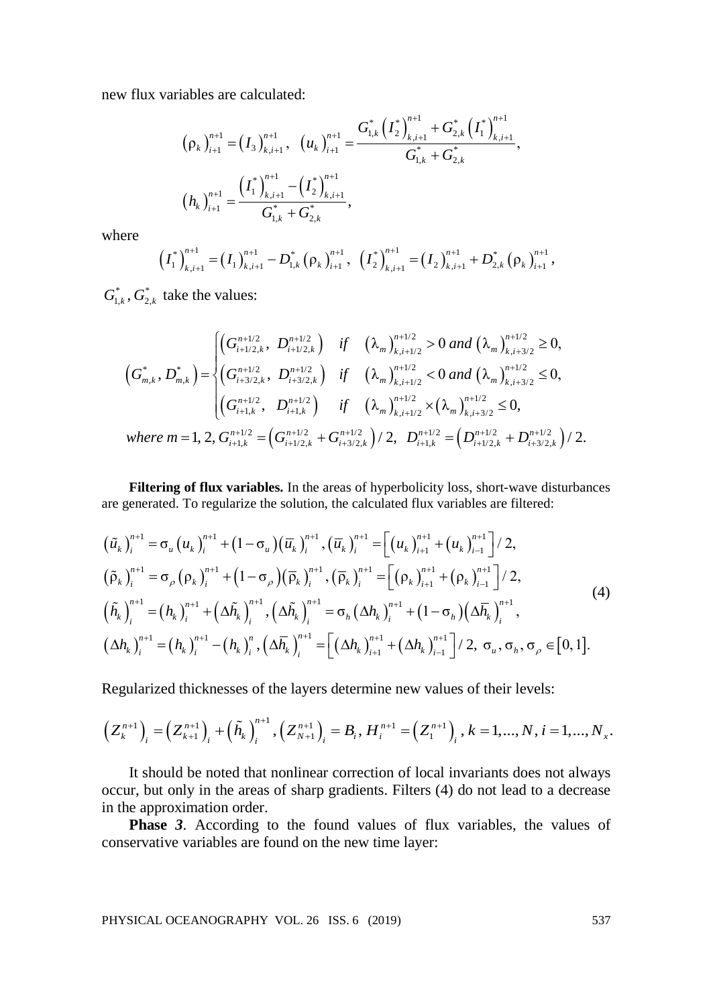new flux variables are calculated:

$$
\left(\rho_{k}\right)_{i+1}^{n+1} = \left(I_{3}\right)_{k,i+1}^{n+1}, \quad \left(u_{k}\right)_{i+1}^{n+1} = \frac{G_{1,k}^{*}\left(\left(I_{2}\right)_{k,i+1}^{n+1} + G_{2,k}^{*}\left(\left(I_{1}\right)_{k,i+1}^{n+1}\right)}{G_{1,k}^{*} + G_{2,k}^{*}},
$$
\n
$$
\left(h_{k}\right)_{i+1}^{n+1} = \frac{\left(\left(I_{1}\right)_{k,i+1}^{n+1} - \left(I_{2}\right)_{k,i+1}^{n+1}\right)}{G_{1,k}^{*} + G_{2,k}^{*}},
$$

where

$$
\left(I_1^*\right)_{k,i+1}^{n+1} = \left(I_1\right)_{k,i+1}^{n+1} - D_{1,k}^*\left(\rho_k\right)_{i+1}^{n+1}, \ \left(I_2^*\right)_{k,i+1}^{n+1} = \left(I_2\right)_{k,i+1}^{n+1} + D_{2,k}^*\left(\rho_k\right)_{i+1}^{n+1},
$$

 $G_{1,k}^*$ ,  $G_{2,k}^*$  take the values:

$$
(G_{m,k}^*, D_{m,k}^*) = \begin{cases} \left(G_{i+1/2,k}^{n+1/2}, D_{i+1/2,k}^{n+1/2}\right) & \text{if } \left(\lambda_m\right)_{k,i+1/2}^{n+1/2} > 0 \text{ and } \left(\lambda_m\right)_{k,i+3/2}^{n+1/2} \ge 0, \\ \left(G_{m,k}^*, D_{m,k}^*\right) = \begin{cases} \left(G_{i+3/2,k}^{n+1/2}, D_{i+3/2,k}^{n+1/2}\right) & \text{if } \left(\lambda_m\right)_{k,i+1/2}^{n+1/2} < 0 \text{ and } \left(\lambda_m\right)_{k,i+3/2}^{n+1/2} \le 0, \\ \left(G_{i+1,k}^{n+1/2}, D_{i+1,k}^{n+1/2}\right) & \text{if } \left(\lambda_m\right)_{k,i+1/2}^{n+1/2} \times \left(\lambda_m\right)_{k,i+3/2}^{n+1/2} \le 0, \\ \text{where } m = 1, 2, G_{i+1,k}^{n+1/2} = \left(G_{i+1/2,k}^{n+1/2} + G_{i+3/2,k}^{n+1/2}\right)/2, D_{i+1,k}^{n+1/2} = \left(D_{i+1/2,k}^{n+1/2} + D_{i+3/2,k}^{n+1/2}\right)/2. \end{cases}
$$

**Filtering of flux variables.** In the areas of hyperbolicity loss, short-wave disturbances are generated. To regularize the solution, the calculated flux variables are filtered:

$$
\begin{split}\n\left(\tilde{u}_{k}\right)_{i}^{n+1} &= \sigma_{u}\left(u_{k}\right)_{i}^{n+1} + \left(1 - \sigma_{u}\right)\left(\overline{u}_{k}\right)_{i}^{n+1}, \left(\overline{u}_{k}\right)_{i}^{n+1} = \left[\left(u_{k}\right)_{i+1}^{n+1} + \left(u_{k}\right)_{i-1}^{n+1}\right]/2, \\
\left(\tilde{\rho}_{k}\right)_{i}^{n+1} &= \sigma_{\rho}\left(\rho_{k}\right)_{i}^{n+1} + \left(1 - \sigma_{\rho}\right)\left(\overline{\rho}_{k}\right)_{i}^{n+1}, \left(\overline{\rho}_{k}\right)_{i}^{n+1} = \left[\left(\rho_{k}\right)_{i+1}^{n+1} + \left(\rho_{k}\right)_{i-1}^{n+1}\right]/2, \\
\left(\tilde{h}_{k}\right)_{i}^{n+1} &= \left(h_{k}\right)_{i}^{n+1} + \left(\Delta\tilde{h}_{k}\right)_{i}^{n+1}, \left(\Delta\tilde{h}_{k}\right)_{i}^{n+1} = \sigma_{h}\left(\Delta h_{k}\right)_{i}^{n+1} + \left(1 - \sigma_{h}\right)\left(\Delta\overline{h}_{k}\right)_{i}^{n+1}, \\
\left(\Delta h_{k}\right)_{i}^{n+1} &= \left(h_{k}\right)_{i}^{n+1} - \left(h_{k}\right)_{i}^{n}, \left(\Delta\overline{h}_{k}\right)_{i}^{n+1} = \left[\left(\Delta h_{k}\right)_{i+1}^{n+1} + \left(\Delta h_{k}\right)_{i-1}^{n+1}\right]/2, \ \sigma_{u}, \ \sigma_{h}, \ \sigma_{\rho} \in [0, 1].\n\end{split} \tag{4}
$$

Regularized thicknesses of the layers determine new values of their levels:

$$
\left(Z_k^{n+1}\right)_i = \left(Z_{k+1}^{n+1}\right)_i + \left(\widetilde{h}_k\right)_i^{n+1}, \left(Z_{N+1}^{n+1}\right)_i = B_i, H_i^{n+1} = \left(Z_1^{n+1}\right)_i, k = 1, ..., N, i = 1, ..., N_x.
$$

It should be noted that nonlinear correction of local invariants does not always occur, but only in the areas of sharp gradients. Filters (4) do not lead to a decrease in the approximation order.

**Phase** *3*. According to the found values of flux variables, the values of conservative variables are found on the new time layer: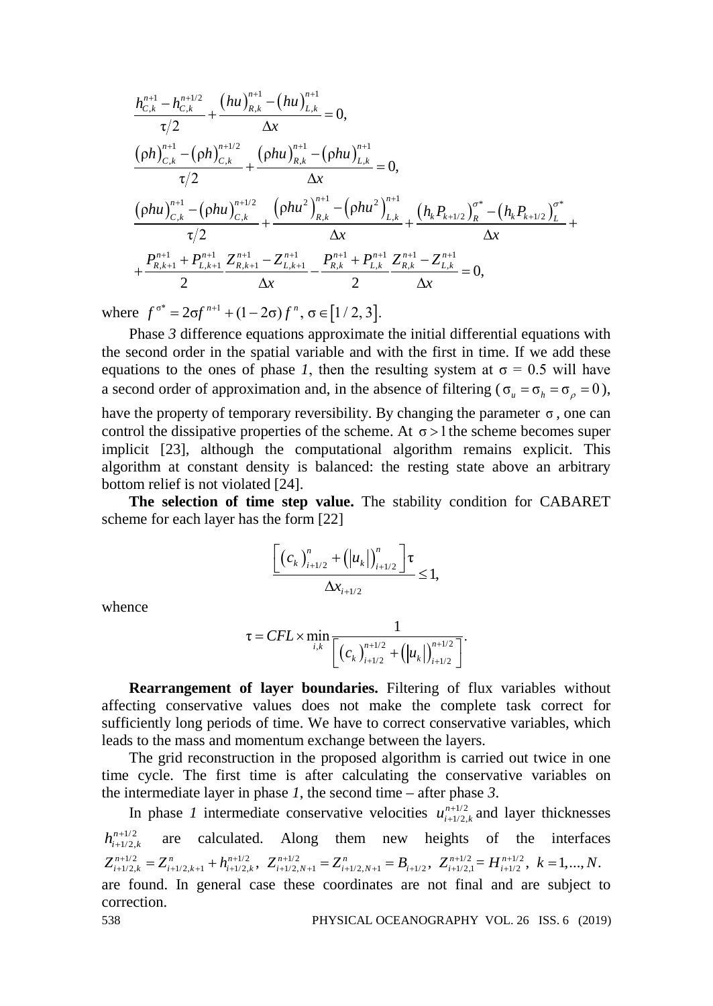$$
\frac{h_{C,k}^{n+1} - h_{C,k}^{n+1/2}}{\tau/2} + \frac{(hu)_{R,k}^{n+1} - (hu)_{L,k}^{n+1}}{\Delta x} = 0,
$$
\n
$$
\frac{(\rho h)_{C,k}^{n+1} - (\rho h)_{C,k}^{n+1/2}}{\tau/2} + \frac{(\rho hu)_{R,k}^{n+1} - (\rho hu)_{L,k}^{n+1}}{\Delta x} = 0,
$$
\n
$$
\frac{(\rho hu)_{C,k}^{n+1} - (\rho hu)_{C,k}^{n+1/2}}{\tau/2} + \frac{(\rho hu^2)_{R,k}^{n+1} - (\rho hu^2)_{L,k}^{n+1}}{\Delta x} + \frac{(h_k P_{k+1/2})_R^{\sigma^*} - (h_k P_{k+1/2})_L^{\sigma^*}}{\Delta x} + \frac{P_{R,k+1}^{n+1} + P_{L,k+1}^{n+1}}{2} \frac{Z_{R,k+1}^{n+1} - Z_{L,k+1}^{n+1}}{2} - \frac{P_{R,k}^{n+1} + P_{L,k}^{n+1}}{2} \frac{Z_{R,k}^{n+1} - Z_{L,k}^{n+1}}{\Delta x} = 0,
$$

where  $f^{\sigma^*} = 2\sigma f^{n+1} + (1 - 2\sigma) f^n$ ,  $\sigma \in [1/2, 3]$ .

Phase *3* difference equations approximate the initial differential equations with the second order in the spatial variable and with the first in time. If we add these equations to the ones of phase *1*, then the resulting system at  $\sigma = 0.5$  will have a second order of approximation and, in the absence of filtering ( $\sigma_u = \sigma_b = \sigma_o = 0$ ), have the property of temporary reversibility. By changing the parameter  $\sigma$ , one can control the dissipative properties of the scheme. At  $\sigma > 1$  the scheme becomes super implicit [23], although the computational algorithm remains explicit. This algorithm at constant density is balanced: the resting state above an arbitrary bottom relief is not violated [24].

**The selection of time step value.** The stability condition for CABARET scheme for each layer has the form [22]

$$
\frac{\left[ (c_k)_{i+1/2}^n + (|u_k|)_{i+1/2}^n \right] \tau}{\Delta x_{i+1/2}} \le 1,
$$

whence

$$
\tau = CFL \times \min_{i,k} \frac{1}{\left[ \left( c_k \right)_{i+1/2}^{n+1/2} + \left( |u_k| \right)_{i+1/2}^{n+1/2} \right]}.
$$

**Rearrangement of layer boundaries.** Filtering of flux variables without affecting conservative values does not make the complete task correct for sufficiently long periods of time. We have to correct conservative variables, which leads to the mass and momentum exchange between the layers.

The grid reconstruction in the proposed algorithm is carried out twice in one time cycle. The first time is after calculating the conservative variables on the intermediate layer in phase *1*, the second time – after phase *3*.

In phase *1* intermediate conservative velocities  $u_{i+1/2,k}^{n+1/2}$  and layer thicknesses  $h^{n+1/2}_{i+1/2,k}$ are calculated. Along them new heights of the interfaces  $Z_{i+1/2,k}^{n+1/2} = Z_{i+1/2,k+1}^{n} + h_{i+1/2,k}^{n+1/2}, Z_{i+1/2,N+1}^{n+1/2} = Z_{i+1/2,N+1}^{n} = B_{i+1/2}, Z_{i+1/2,1}^{n+1/2} = H_{i+1/2}^{n+1/2}, k = 1, ..., N.$ are found. In general case these coordinates are not final and are subject to correction.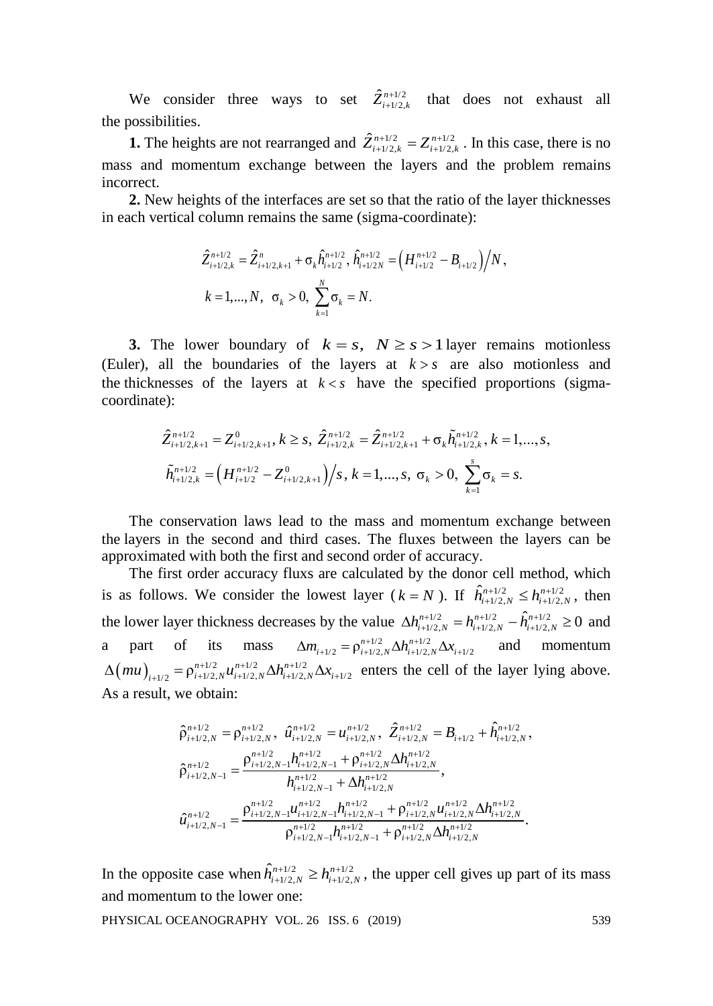We consider three ways to set  $\hat{Z}_{i+1/2,k}^{n+1/2}$  that does not exhaust all the possibilities.

**1.** The heights are not rearranged and  $\hat{Z}_{i+1/2,k}^{n+1/2} = Z_{i+1/2,k}^{n+1/2}$ . In this case, there is no mass and momentum exchange between the layers and the problem remains incorrect.

**2.** New heights of the interfaces are set so that the ratio of the layer thicknesses in each vertical column remains the same (sigma-coordinate):

$$
\hat{Z}_{i+1/2,k}^{n+1/2} = \hat{Z}_{i+1/2,k+1}^{n} + \sigma_k \hat{h}_{i+1/2}^{n+1/2}, \hat{h}_{i+1/2N}^{n+1/2} = \left(H_{i+1/2}^{n+1/2} - B_{i+1/2}\right) / N,
$$
\n
$$
k = 1, ..., N, \quad \sigma_k > 0, \quad \sum_{k=1}^{N} \sigma_k = N.
$$

**3.** The lower boundary of  $k = s$ ,  $N \ge s > 1$  layer remains motionless (Euler), all the boundaries of the layers at  $k > s$  are also motionless and the thicknesses of the layers at  $k < s$  have the specified proportions (sigmacoordinate):

$$
\hat{Z}_{i+1/2,k+1}^{n+1/2} = Z_{i+1/2,k+1}^{0}, k \geq s, \ \hat{Z}_{i+1/2,k}^{n+1/2} = \hat{Z}_{i+1/2,k+1}^{n+1/2} + \sigma_k \tilde{h}_{i+1/2,k}^{n+1/2}, k = 1, ..., s,
$$
  

$$
\tilde{h}_{i+1/2,k}^{n+1/2} = \left(H_{i+1/2}^{n+1/2} - Z_{i+1/2,k+1}^{0}\right)/s, k = 1, ..., s, \ \sigma_k > 0, \ \sum_{k=1}^{s} \sigma_k = s.
$$

The conservation laws lead to the mass and momentum exchange between the layers in the second and third cases. The fluxes between the layers can be approximated with both the first and second order of accuracy.

The first order accuracy fluxs are calculated by the donor cell method, which is as follows. We consider the lowest layer ( $k = N$ ). If  $\hat{h}_{i+1/2,N}^{n+1/2} \leq h_{i+1/2,N}^{n+1/2}$ , then the lower layer thickness decreases by the value  $\Delta h_{i+1/2,N}^{n+1/2} = h_{i+1/2,N}^{n+1/2} - \hat{h}_{i+1/2,N}^{n+1/2} \ge 0$  and a part of its mass  $\Delta m_{i+1/2} = \rho_{i+1/2,N}^{n+1/2} \Delta h_{i+1/2,N}^{n+1/2} \Delta x_{i+1/2}$  and momentum  $\Delta$ (*mu*)<sub>*i*+1/2</sub> =  $\rho_{i+1/2,N}^{n+1/2} u_{i+1/2,N}^{n+1/2} \Delta h_{i+1/2,N}^{n+1/2} \Delta x_{i+1/2}$  enters the cell of the layer lying above. As a result, we obtain:

$$
\begin{aligned} \hat{\rho}_{i+1/2,N}^{n+1/2} &= \rho_{i+1/2,N}^{n+1/2}, \ \hat{u}_{i+1/2,N}^{n+1/2} &= u_{i+1/2,N}^{n+1/2}, \ \hat{Z}_{i+1/2,N}^{n+1/2} &= B_{i+1/2} + \hat{h}_{i+1/2,N}^{n+1/2}, \\ \hat{\rho}_{i+1/2,N-1}^{n+1/2} &= \frac{\rho_{i+1/2,N-1}^{n+1/2}h_{i+1/2,N-1}^{n+1/2} + \rho_{i+1/2,N}^{n+1/2} \Delta h_{i+1/2,N}^{n+1/2}}{h_{i+1/2,N-1}^{n+1/2} + \Delta h_{i+1/2,N}^{n+1/2}}, \\ \hat{u}_{i+1/2,N-1}^{n+1/2} &= \frac{\rho_{i+1/2,N-1}^{n+1/2}u_{i+1/2,N-1}^{n+1/2} + \rho_{i+1/2,N}^{n+1/2}u_{i+1/2,N}^{n+1/2} \Delta h_{i+1/2,N}^{n+1/2}}{\rho_{i+1/2,N-1}^{n+1/2} + \rho_{i+1/2,N}^{n+1/2} \Delta h_{i+1/2,N}^{n+1/2}}. \end{aligned}
$$

In the opposite case when  $\hat{h}_{i+1/2,N}^{n+1/2} \geq h_{i+1/2,N}^{n+1/2}$ , the upper cell gives up part of its mass and momentum to the lower one: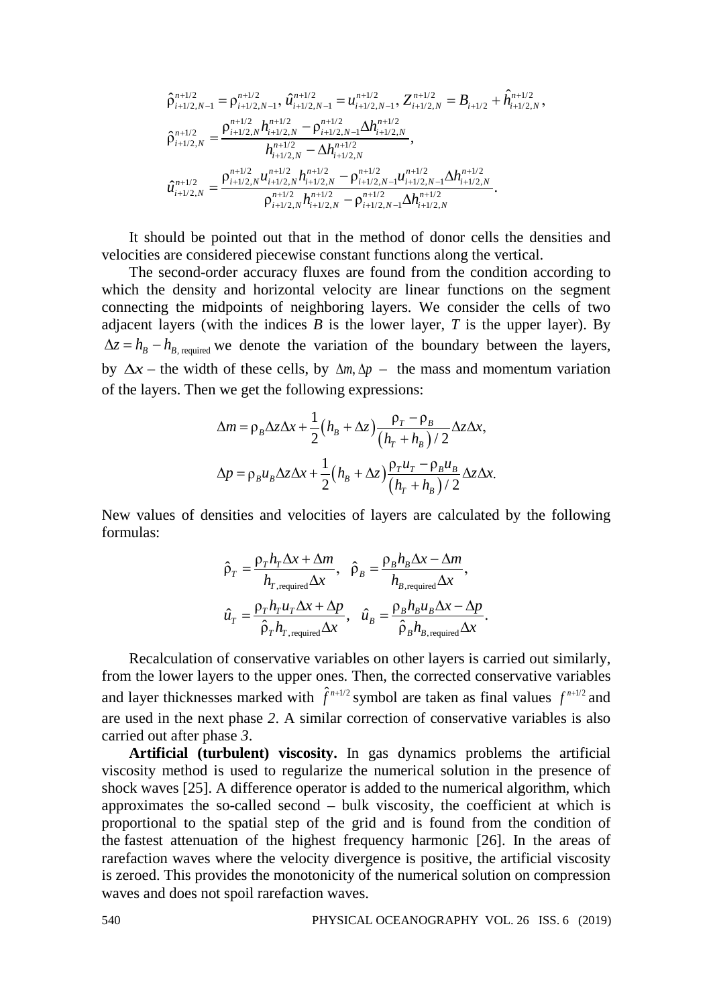$$
\begin{aligned}\n\hat{\rho}_{i+1/2,N-1}^{n+1/2} &= \rho_{i+1/2,N-1}^{n+1/2}, \hat{u}_{i+1/2,N-1}^{n+1/2} = u_{i+1/2,N-1}^{n+1/2}, Z_{i+1/2,N}^{n+1/2} = B_{i+1/2} + \hat{h}_{i+1/2,N}^{n+1/2}, \\
\hat{\rho}_{i+1/2,N}^{n+1/2} &= \frac{\rho_{i+1/2,N}^{n+1/2} h_{i+1/2,N}^{n+1/2} - \rho_{i+1/2,N-1}^{n+1/2} \Delta h_{i+1/2,N}^{n+1/2}}{h_{i+1/2,N}^{n+1/2} - \Delta h_{i+1/2,N}^{n+1/2}}, \\
\hat{u}_{i+1/2,N}^{n+1/2} &= \frac{\rho_{i+1/2,N}^{n+1/2} u_{i+1/2,N}^{n+1/2} - \rho_{i+1/2,N-1}^{n+1/2} u_{i+1/2,N-1}^{n+1/2} \Delta h_{i+1/2,N}^{n+1/2}}{\rho_{i+1/2,N}^{n+1/2} h_{i+1/2,N}^{n+1/2} - \rho_{i+1/2,N-1}^{n+1/2} \Delta h_{i+1/2,N}^{n+1/2}}.\n\end{aligned}
$$

It should be pointed out that in the method of donor cells the densities and velocities are considered piecewise constant functions along the vertical.

The second-order accuracy fluxes are found from the condition according to which the density and horizontal velocity are linear functions on the segment connecting the midpoints of neighboring layers. We consider the cells of two adjacent layers (with the indices  $B$  is the lower layer,  $T$  is the upper layer). By  $\Delta z = h_B - h_{B, required}$  we denote the variation of the boundary between the layers, by  $\Delta x$  – the width of these cells, by  $\Delta m$ ,  $\Delta p$  – the mass and momentum variation of the layers. Then we get the following expressions:

$$
\Delta m = \rho_B \Delta z \Delta x + \frac{1}{2} (h_B + \Delta z) \frac{\rho_T - \rho_B}{(h_T + h_B)/2} \Delta z \Delta x,
$$
  

$$
\Delta p = \rho_B u_B \Delta z \Delta x + \frac{1}{2} (h_B + \Delta z) \frac{\rho_T u_T - \rho_B u_B}{(h_T + h_B)/2} \Delta z \Delta x.
$$

New values of densities and velocities of layers are calculated by the following formulas:

$$
\hat{\rho}_T = \frac{\rho_T h_T \Delta x + \Delta m}{h_{T, required} \Delta x}, \quad \hat{\rho}_B = \frac{\rho_B h_B \Delta x - \Delta m}{h_{B, required} \Delta x},
$$
\n
$$
\hat{u}_T = \frac{\rho_T h_T u_T \Delta x + \Delta p}{\hat{\rho}_T h_{T, required} \Delta x}, \quad \hat{u}_B = \frac{\rho_B h_B u_B \Delta x - \Delta p}{\hat{\rho}_B h_{B, required} \Delta x}.
$$

Recalculation of conservative variables on other layers is carried out similarly, from the lower layers to the upper ones. Then, the corrected conservative variables and layer thicknesses marked with  $\hat{f}^{n+1/2}$  symbol are taken as final values  $f^{n+1/2}$  and are used in the next phase *2*. A similar correction of conservative variables is also carried out after phase *3*.

**Artificial (turbulent) viscosity.** In gas dynamics problems the artificial viscosity method is used to regularize the numerical solution in the presence of shock waves [25]. A difference operator is added to the numerical algorithm, which approximates the so-called second – bulk viscosity, the coefficient at which is proportional to the spatial step of the grid and is found from the condition of the fastest attenuation of the highest frequency harmonic [26]. In the areas of rarefaction waves where the velocity divergence is positive, the artificial viscosity is zeroed. This provides the monotonicity of the numerical solution on compression waves and does not spoil rarefaction waves.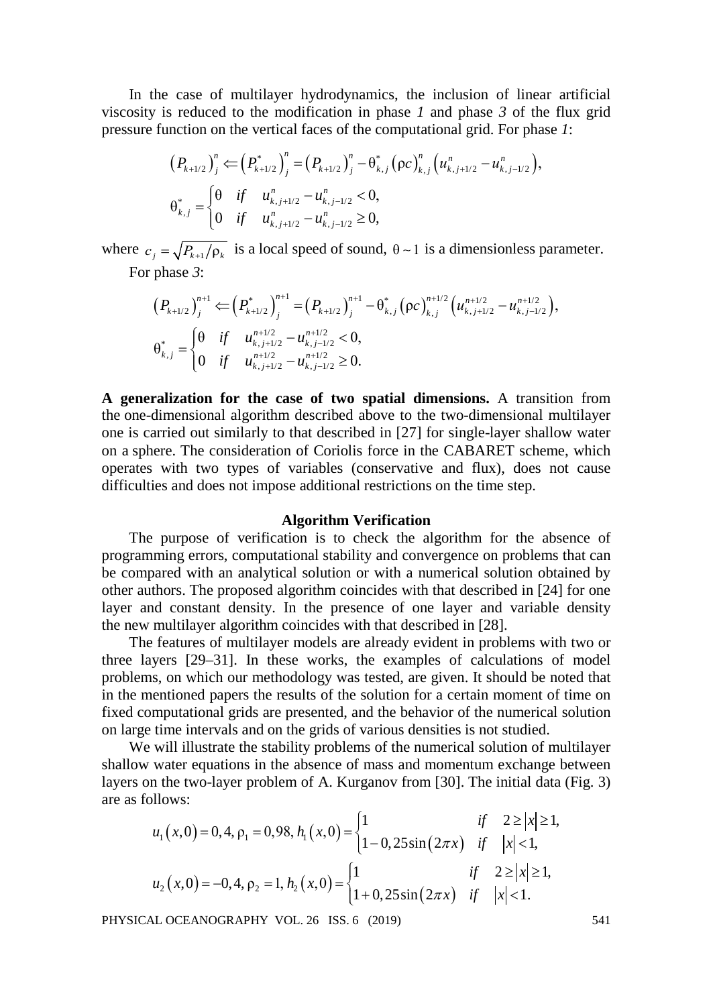In the case of multilayer hydrodynamics, the inclusion of linear artificial viscosity is reduced to the modification in phase *1* and phase *3* of the flux grid pressure function on the vertical faces of the computational grid. For phase *1*:

$$
(P_{k+1/2})_j^n \leftarrow (P_{k+1/2}^*)_j^n = (P_{k+1/2})_j^n - \theta_{k,j}^* (\rho c)_{k,j}^n (u_{k,j+1/2}^n - u_{k,j-1/2}^n),
$$
  
\n
$$
\theta_{k,j}^* = \begin{cases}\n\theta & \text{if } u_{k,j+1/2}^n - u_{k,j-1/2}^n < 0, \\
0 & \text{if } u_{k,j+1/2}^n - u_{k,j-1/2}^n \ge 0,\n\end{cases}
$$

where  $c_i = \sqrt{P_{k+1}/\rho_k}$  is a local speed of sound,  $\theta \sim 1$  is a dimensionless parameter. For phase *3*:

$$
(P_{k+1/2})_j^{n+1} \leftarrow (P_{k+1/2}^*)_j^{n+1} = (P_{k+1/2})_j^{n+1} - \theta_{k,j}^* (\rho c)_{k,j}^{n+1/2} (u_{k,j+1/2}^{n+1/2} - u_{k,j-1/2}^{n+1/2}),
$$
  
\n
$$
\theta_{k,j}^* = \begin{cases}\n\theta & \text{if } u_{k,j+1/2}^{n+1/2} - u_{k,j-1/2}^{n+1/2} < 0, \\
0 & \text{if } u_{k,j+1/2}^{n+1/2} - u_{k,j-1/2}^{n+1/2} \ge 0.\n\end{cases}
$$

**A generalization for the case of two spatial dimensions.** A transition from the one-dimensional algorithm described above to the two-dimensional multilayer one is carried out similarly to that described in [27] for single-layer shallow water on a sphere. The consideration of Coriolis force in the CABARET scheme, which operates with two types of variables (conservative and flux), does not cause difficulties and does not impose additional restrictions on the time step.

#### **Algorithm Verification**

The purpose of verification is to check the algorithm for the absence of programming errors, computational stability and convergence on problems that can be compared with an analytical solution or with a numerical solution obtained by other authors. The proposed algorithm coincides with that described in [24] for one layer and constant density. In the presence of one layer and variable density the new multilayer algorithm coincides with that described in [28].

The features of multilayer models are already evident in problems with two or three layers [29–31]. In these works, the examples of calculations of model problems, on which our methodology was tested, are given. It should be noted that in the mentioned papers the results of the solution for a certain moment of time on fixed computational grids are presented, and the behavior of the numerical solution on large time intervals and on the grids of various densities is not studied.

We will illustrate the stability problems of the numerical solution of multilayer shallow water equations in the absence of mass and momentum exchange between layers on the two-layer problem of A. Kurganov from [30]. The initial data (Fig. 3) are as follows:

$$
u_1(x,0) = 0, 4, \rho_1 = 0, 98, h_1(x,0) = \begin{cases} 1 & \text{if } 2 \ge |x| \ge 1, \\ 1 - 0, 25\sin(2\pi x) & \text{if } |x| < 1, \end{cases}
$$
  

$$
u_2(x,0) = -0, 4, \rho_2 = 1, h_2(x,0) = \begin{cases} 1 & \text{if } 2 \ge |x| \ge 1, \\ 1 + 0, 25\sin(2\pi x) & \text{if } |x| < 1. \end{cases}
$$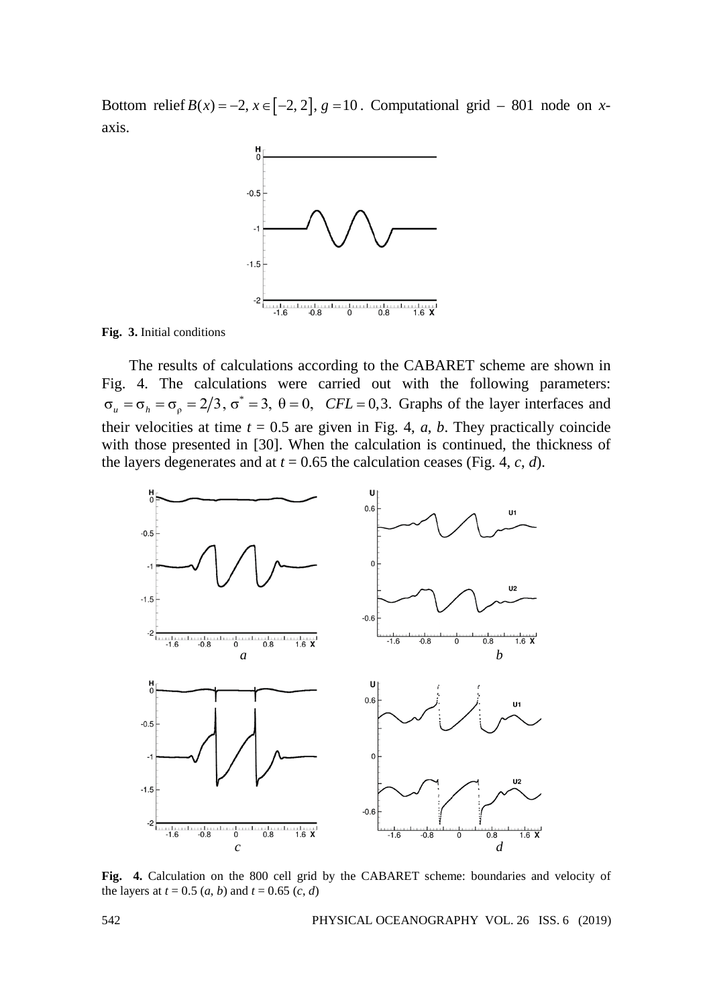Bottom relief  $B(x) = -2$ ,  $x \in [-2, 2]$ ,  $g = 10$ . Computational grid – 801 node on *x*axis.



**Fig. 3.** Initial conditions

The results of calculations according to the CABARET scheme are shown in Fig. 4. The calculations were carried out with the following parameters:  $\sigma_u = \sigma_h = \sigma_\rho = 2/3$ ,  $\sigma^* = 3$ ,  $\theta = 0$ , *CFL* = 0,3. Graphs of the layer interfaces and their velocities at time  $t = 0.5$  are given in Fig. 4, *a*, *b*. They practically coincide with those presented in [30]. When the calculation is continued, the thickness of the layers degenerates and at  $t = 0.65$  the calculation ceases (Fig. 4, *c*, *d*).



**Fig. 4.** Calculation on the 800 cell grid by the CABARET scheme: boundaries and velocity of the layers at  $t = 0.5$  (*a*, *b*) and  $t = 0.65$  (*c*, *d*)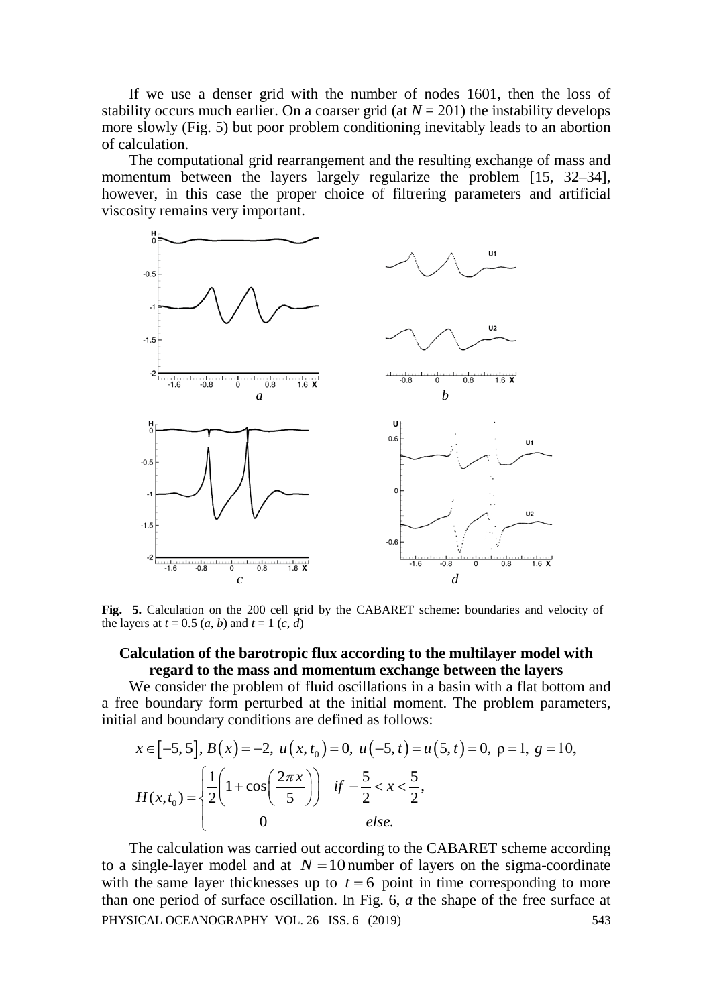If we use a denser grid with the number of nodes 1601, then the loss of stability occurs much earlier. On a coarser grid (at  $N = 201$ ) the instability develops more slowly (Fig. 5) but poor problem conditioning inevitably leads to an abortion of calculation.

The computational grid rearrangement and the resulting exchange of mass and momentum between the layers largely regularize the problem [15, 32–34], however, in this case the proper choice of filtrering parameters and artificial viscosity remains very important.



**Fig. 5.** Calculation on the 200 cell grid by the CABARET scheme: boundaries and velocity of the layers at  $t = 0.5$   $(a, b)$  and  $t = 1$   $(c, d)$ 

### **Calculation of the barotropic flux according to the multilayer model with regard to the mass and momentum exchange between the layers**

We consider the problem of fluid oscillations in a basin with a flat bottom and a free boundary form perturbed at the initial moment. The problem parameters, initial and boundary conditions are defined as follows:

$$
x \in [-5, 5], B(x) = -2, u(x, t_0) = 0, u(-5, t) = u(5, t) = 0, p = 1, g = 10,
$$
  

$$
H(x, t_0) = \begin{cases} \frac{1}{2} \left( 1 + \cos\left(\frac{2\pi x}{5}\right) \right) & \text{if } -\frac{5}{2} < x < \frac{5}{2}, \\ 0 & \text{else.} \end{cases}
$$

The calculation was carried out according to the CABARET scheme according to a single-layer model and at  $N = 10$  number of layers on the sigma-coordinate with the same layer thicknesses up to  $t = 6$  point in time corresponding to more than one period of surface oscillation. In Fig. 6, *a* the shape of the free surface at PHYSICAL OCEANOGRAPHY VOL. 26 ISS. 6 (2019) 543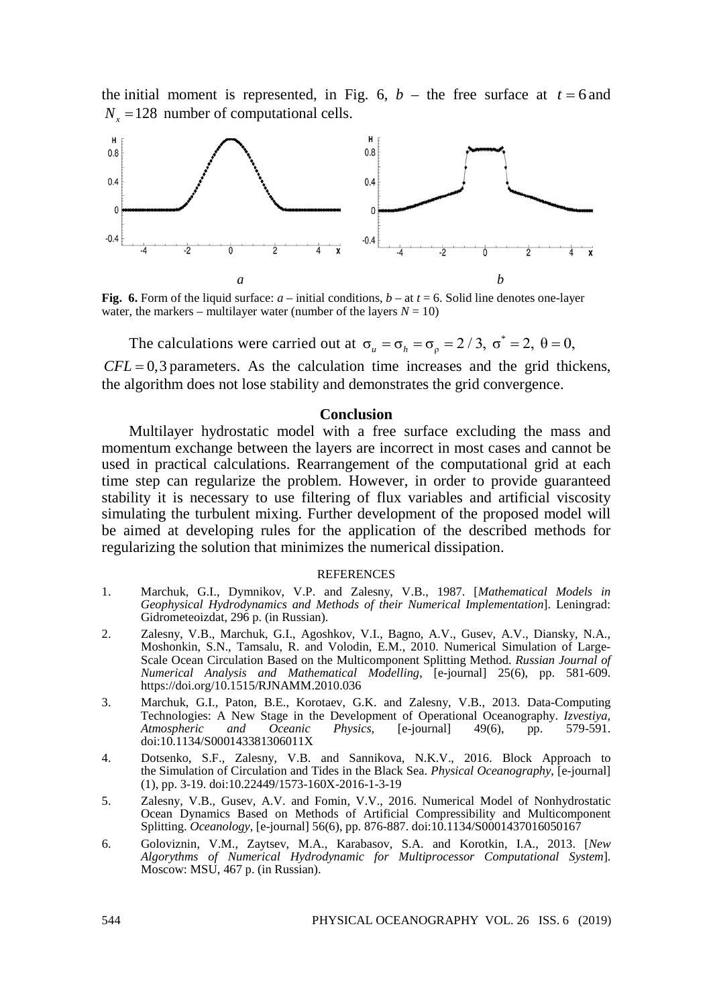the initial moment is represented, in Fig. 6,  $b -$  the free surface at  $t = 6$  and  $N_x = 128$  number of computational cells.



**Fig. 6.** Form of the liquid surface:  $a$  – initial conditions,  $b$  – at  $t = 6$ . Solid line denotes one-layer water, the markers – multilayer water (number of the layers  $N = 10$ )

The calculations were carried out at  $\sigma_u = \sigma_h = \sigma_o = 2 / 3$ ,  $\sigma^* = 2$ ,  $\theta = 0$ ,

 $CFL = 0,3$  parameters. As the calculation time increases and the grid thickens, the algorithm does not lose stability and demonstrates the grid convergence.

### **Conclusion**

Multilayer hydrostatic model with a free surface excluding the mass and momentum exchange between the layers are incorrect in most cases and cannot be used in practical calculations. Rearrangement of the computational grid at each time step can regularize the problem. However, in order to provide guaranteed stability it is necessary to use filtering of flux variables and artificial viscosity simulating the turbulent mixing. Further development of the proposed model will be aimed at developing rules for the application of the described methods for regularizing the solution that minimizes the numerical dissipation.

#### **REFERENCES**

- 1. Marchuk, G.I., Dymnikov, V.P. and Zalesny, V.B., 1987. [*Mathematical Models in Geophysical Hydrodynamics and Methods of their Numerical Implementation*]. Leningrad: Gidrometeoizdat, 296 p. (in Russian).
- 2. Zalesny, V.B., Marchuk, G.I., Agoshkov, V.I., Bagno, A.V., Gusev, A.V., Diansky, N.A., Moshonkin, S.N., Tamsalu, R. and Volodin, E.M., 2010. Numerical Simulation of Large-Scale Ocean Circulation Based on the Multicomponent Splitting Method. *Russian Journal of Numerical Analysis and Mathematical Modelling*, [e-journal] 25(6), pp. 581-609. https://doi.org/10.1515/RJNAMM.2010.036
- 3. Marchuk, G.I., Paton, B.E., Korotaev, G.K. and Zalesny, V.B., 2013. Data-Computing Technologies: A New Stage in the Development of Operational Oceanography. *Izvestiya,*   $Atmospheric$ doi:10.1134/S000143381306011X
- 4. Dotsenko, S.F., Zalesny, V.B. and Sannikova, N.K.V., 2016. Block Approach to the Simulation of Circulation and Tides in the Black Sea. *Physical Oceanography*, [e-journal] (1), pp. 3-19. doi:10.22449/1573-160X-2016-1-3-19
- 5. Zalesny, V.B., Gusev, A.V. and Fomin, V.V., 2016. Numerical Model of Nonhydrostatic Ocean Dynamics Based on Methods of Artificial Compressibility and Multicomponent Splitting. *Oceanology*, [e-journal] 56(6), pp. 876-887. doi:10.1134/S0001437016050167
- 6. Goloviznin, V.M., Zaytsev, M.A., Karabasov, S.A. and Korotkin, I.A., 2013. [*New Algorythms of Numerical Hydrodynamic for Multiprocessor Computational System*]. Moscow: MSU, 467 p. (in Russian).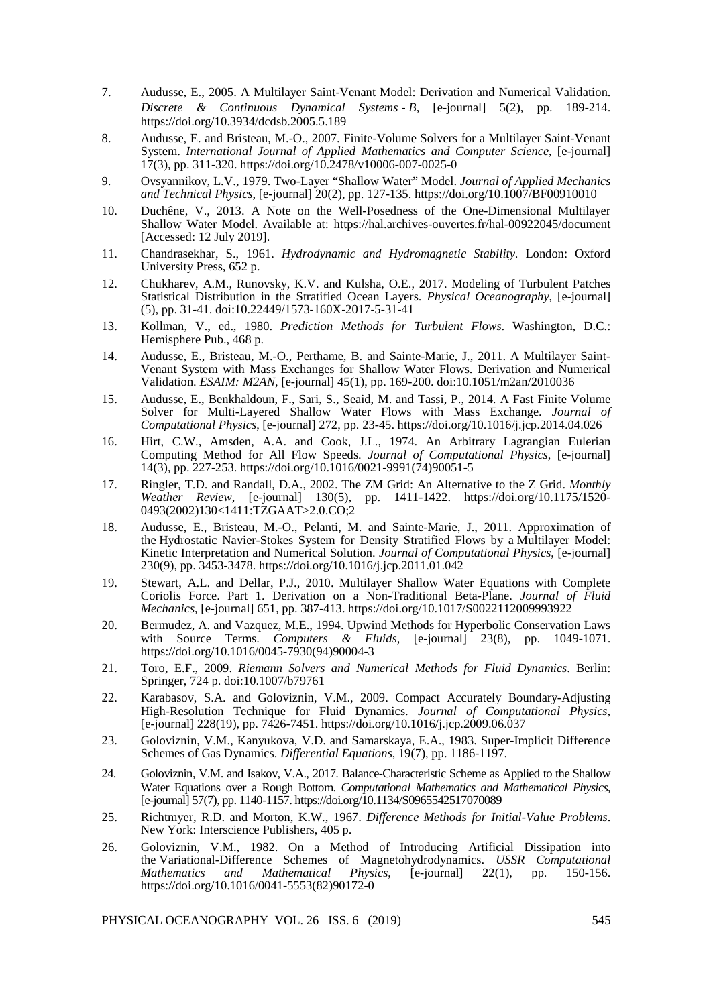- 7. Audusse, E., 2005. A Multilayer Saint-Venant Model: Derivation and Numerical Validation. *Discrete & Continuous Dynamical Systems - B*, [e-journal] 5(2), pp. 189-214. https://doi.org/10.3934/dcdsb.2005.5.189
- 8. Audusse, E. and Bristeau, M.-O., 2007. Finite-Volume Solvers for a Multilayer Saint-Venant System. *International Journal of Applied Mathematics and Computer Science*, [e-journal] 17(3), pp. 311-320. https://doi.org/10.2478/v10006-007-0025-0
- 9. Ovsyannikov, L.V., 1979. Two-Layer "Shallow Water" Model. *Journal of Applied Mechanics and Technical Physics*, [e-journal] 20(2), pp. 127-135. https://doi.org/10.1007/BF00910010
- 10. Duchêne, V., 2013. A Note on the Well-Posedness of the One-Dimensional Multilayer Shallow Water Model. Available at:<https://hal.archives-ouvertes.fr/hal-00922045/document> [Accessed: 12 July 2019].
- 11. Chandrasekhar, S., 1961. *Hydrodynamic and Hydromagnetic Stability*. London: Oxford University Press, 652 p.
- 12. Chukharev, A.M., Runovsky, K.V. and Kulsha, O.E., 2017. Modeling of Turbulent Patches Statistical Distribution in the Stratified Ocean Layers. *Physical Oceanography*, [e-journal] (5), pp. 31-41. doi:10.22449/1573-160X-2017-5-31-41
- 13. Kollman, V., ed., 1980. *Prediction Methods for Turbulent Flows*. Washington, D.C.: Hemisphere Pub., 468 p.
- 14. Audusse, E., Bristeau, M.-O., Perthame, B. and Sainte-Marie, J., 2011. A Multilayer Saint-Venant System with Mass Exchanges for Shallow Water Flows. Derivation and Numerical Validation. *ESAIM: M2AN*, [e-journal] 45(1), pp. 169-200[. doi:10.1051/m2an/2010036](https://doi.org/10.1051/m2an/2010036)
- 15. Audusse, E., Benkhaldoun, F., Sari, S., Seaid, M. and Tassi, P., 2014. A Fast Finite Volume Solver for Multi-Layered Shallow Water Flows with Mass Exchange. *Journal of Computational Physics*, [e-journal] 272, pp. 23-45.<https://doi.org/10.1016/j.jcp.2014.04.026>
- 16. Hirt, C.W., Amsden, A.A. and Cook, J.L., 1974. An Arbitrary Lagrangian Eulerian Computing Method for All Flow Speeds. *Journal of Computational Physics*, [e-journal] 14(3), pp. 227-253. https://doi.org/10.1016/0021-9991(74)90051-5
- 17. Ringler, T.D. and Randall, D.A., 2002. The ZM Grid: An Alternative to the Z Grid. *Monthly Weather Review*, [e-journal] 130(5), pp. 1411-1422. https://doi.org/10.1175/1520- 0493(2002)130<1411:TZGAAT>2.0.CO;2
- 18. Audusse, E., Bristeau, M.-O., Pelanti, M. and Sainte-Marie, J., 2011. Approximation of the Hydrostatic Navier-Stokes System for Density Stratified Flows by a Multilayer Model: Kinetic Interpretation and Numerical Solution. *Journal of Computational Physics*, [e-journal] 230(9), pp. 3453-3478. https://doi.org/10.1016/j.jcp.2011.01.042
- 19. Stewart, A.L. and Dellar, P.J., 2010. Multilayer Shallow Water Equations with Complete Coriolis Force. Part 1. Derivation on a Non-Traditional Beta-Plane. *Journal of Fluid Mechanics*, [e-journal] 651, pp. 387-413. https://doi.org/10.1017/S0022112009993922
- 20. Bermudez, A. and Vazquez, M.E., 1994. Upwind Methods for Hyperbolic Conservation Laws with Source Terms. *Computers & Fluids*, [e-journal] 23(8), pp. 1049-1071. https://doi.org/10.1016/0045-7930(94)90004-3
- 21. Toro, E.F., 2009. *Riemann Solvers and Numerical Methods for Fluid Dynamics*. Berlin: Springer, 724 p. doi:10.1007/b79761
- 22. Karabasov, S.A. and Goloviznin, V.M., 2009. Compact Accurately Boundary-Adjusting High-Resolution Technique for Fluid Dynamics. *Journal of Computational Physics*, [e-journal] 228(19), pp. 7426-7451. https://doi.org/10.1016/j.jcp.2009.06.037
- 23. Goloviznin, V.M., Kanyukova, V.D. and Samarskaya, E.A., 1983. Super-Implicit Difference Schemes of Gas Dynamics. *Differential Equations*, 19(7), pp. 1186-1197.
- 24. Goloviznin, V.M. and Isakov, V.A., 2017. Balance-Characteristic Scheme as Applied to the Shallow Water Equations over a Rough Bottom. *Computational Mathematics and Mathematical Physics*, [e-journal] 57(7), pp. 1140-1157. https://doi.org/10.1134/S0965542517070089
- 25. Richtmyer, R.D. and Morton, K.W., 1967. *Difference Methods for Initial-Value Problems*. New York: Interscience Publishers, 405 p.
- 26. Goloviznin, V.M., 1982. On a Method of Introducing Artificial Dissipation into the Variational-Difference Schemes of Magnetohydrodynamics. *USSR Computational Mathematics* and *Mathematical Physics*, https://doi.org/10.1016/0041-5553(82)90172-0